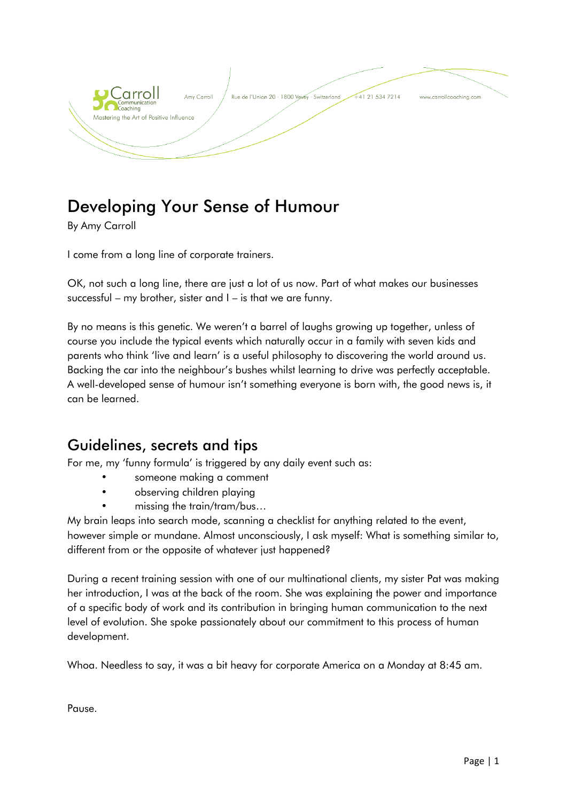

# Developing Your Sense of Humour

By Amy Carroll

I come from a long line of corporate trainers.

OK, not such a long line, there are just a lot of us now. Part of what makes our businesses successful – my brother, sister and I – is that we are funny.

By no means is this genetic. We weren't a barrel of laughs growing up together, unless of course you include the typical events which naturally occur in a family with seven kids and parents who think 'live and learn' is a useful philosophy to discovering the world around us. Backing the car into the neighbour's bushes whilst learning to drive was perfectly acceptable. A well-developed sense of humour isn't something everyone is born with, the good news is, it can be learned.

## Guidelines, secrets and tips

For me, my 'funny formula' is triggered by any daily event such as:

- someone making a comment
- observing children playing
- missing the train/tram/bus…

My brain leaps into search mode, scanning a checklist for anything related to the event, however simple or mundane. Almost unconsciously, I ask myself: What is something similar to, different from or the opposite of whatever just happened?

During a recent training session with one of our multinational clients, my sister Pat was making her introduction, I was at the back of the room. She was explaining the power and importance of a specific body of work and its contribution in bringing human communication to the next level of evolution. She spoke passionately about our commitment to this process of human development.

Whoa. Needless to say, it was a bit heavy for corporate America on a Monday at 8:45 am.

Pause.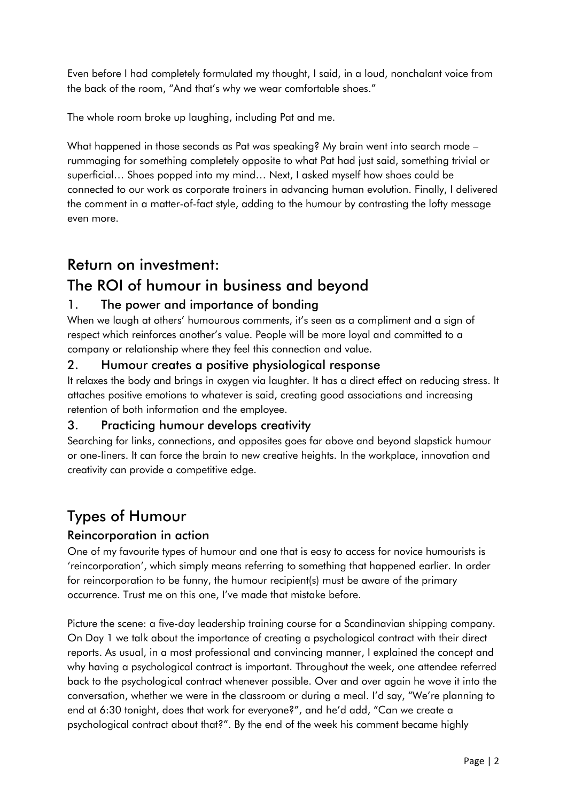Even before I had completely formulated my thought, I said, in a loud, nonchalant voice from the back of the room, "And that's why we wear comfortable shoes."

The whole room broke up laughing, including Pat and me.

What happened in those seconds as Pat was speaking? My brain went into search mode – rummaging for something completely opposite to what Pat had just said, something trivial or superficial… Shoes popped into my mind… Next, I asked myself how shoes could be connected to our work as corporate trainers in advancing human evolution. Finally, I delivered the comment in a matter-of-fact style, adding to the humour by contrasting the lofty message even more.

# Return on investment:

# The ROI of humour in business and beyond

## 1. The power and importance of bonding

When we laugh at others' humourous comments, it's seen as a compliment and a sign of respect which reinforces another's value. People will be more loyal and committed to a company or relationship where they feel this connection and value.

### 2. Humour creates a positive physiological response

It relaxes the body and brings in oxygen via laughter. It has a direct effect on reducing stress. It attaches positive emotions to whatever is said, creating good associations and increasing retention of both information and the employee.

### 3. Practicing humour develops creativity

Searching for links, connections, and opposites goes far above and beyond slapstick humour or one-liners. It can force the brain to new creative heights. In the workplace, innovation and creativity can provide a competitive edge.

# Types of Humour

### Reincorporation in action

One of my favourite types of humour and one that is easy to access for novice humourists is 'reincorporation', which simply means referring to something that happened earlier. In order for reincorporation to be funny, the humour recipient(s) must be aware of the primary occurrence. Trust me on this one, I've made that mistake before.

Picture the scene: a five-day leadership training course for a Scandinavian shipping company. On Day 1 we talk about the importance of creating a psychological contract with their direct reports. As usual, in a most professional and convincing manner, I explained the concept and why having a psychological contract is important. Throughout the week, one attendee referred back to the psychological contract whenever possible. Over and over again he wove it into the conversation, whether we were in the classroom or during a meal. I'd say, "We're planning to end at 6:30 tonight, does that work for everyone?", and he'd add, "Can we create a psychological contract about that?". By the end of the week his comment became highly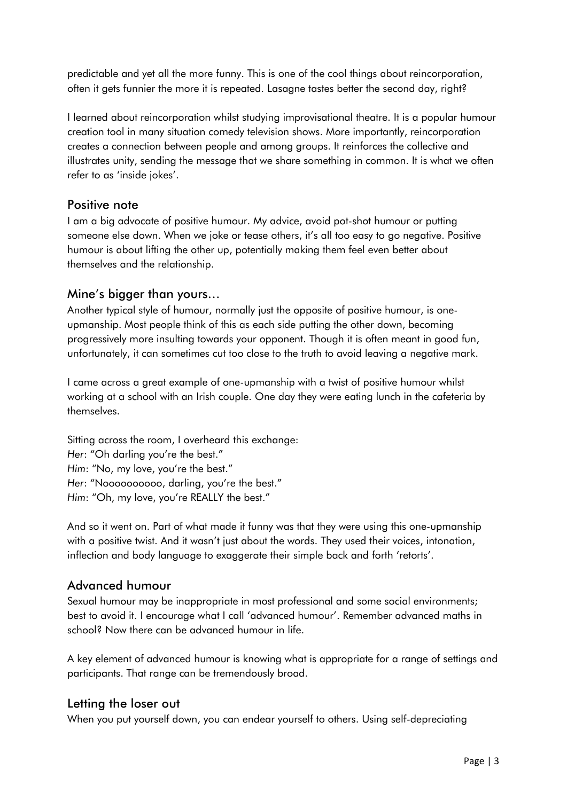predictable and yet all the more funny. This is one of the cool things about reincorporation, often it gets funnier the more it is repeated. Lasagne tastes better the second day, right?

I learned about reincorporation whilst studying improvisational theatre. It is a popular humour creation tool in many situation comedy television shows. More importantly, reincorporation creates a connection between people and among groups. It reinforces the collective and illustrates unity, sending the message that we share something in common. It is what we often refer to as 'inside jokes'.

#### Positive note

I am a big advocate of positive humour. My advice, avoid pot-shot humour or putting someone else down. When we joke or tease others, it's all too easy to go negative. Positive humour is about lifting the other up, potentially making them feel even better about themselves and the relationship.

#### Mine's bigger than yours…

Another typical style of humour, normally just the opposite of positive humour, is oneupmanship. Most people think of this as each side putting the other down, becoming progressively more insulting towards your opponent. Though it is often meant in good fun, unfortunately, it can sometimes cut too close to the truth to avoid leaving a negative mark.

I came across a great example of one-upmanship with a twist of positive humour whilst working at a school with an Irish couple. One day they were eating lunch in the cafeteria by themselves.

Sitting across the room, I overheard this exchange: *Her*: "Oh darling you're the best." *Him*: "No, my love, you're the best." *Her*: "Noooooooooo, darling, you're the best." *Him*: "Oh, my love, you're REALLY the best."

And so it went on. Part of what made it funny was that they were using this one-upmanship with a positive twist. And it wasn't just about the words. They used their voices, intonation, inflection and body language to exaggerate their simple back and forth 'retorts'.

#### Advanced humour

Sexual humour may be inappropriate in most professional and some social environments; best to avoid it. I encourage what I call 'advanced humour'. Remember advanced maths in school? Now there can be advanced humour in life.

A key element of advanced humour is knowing what is appropriate for a range of settings and participants. That range can be tremendously broad.

#### Letting the loser out

When you put yourself down, you can endear yourself to others. Using self-depreciating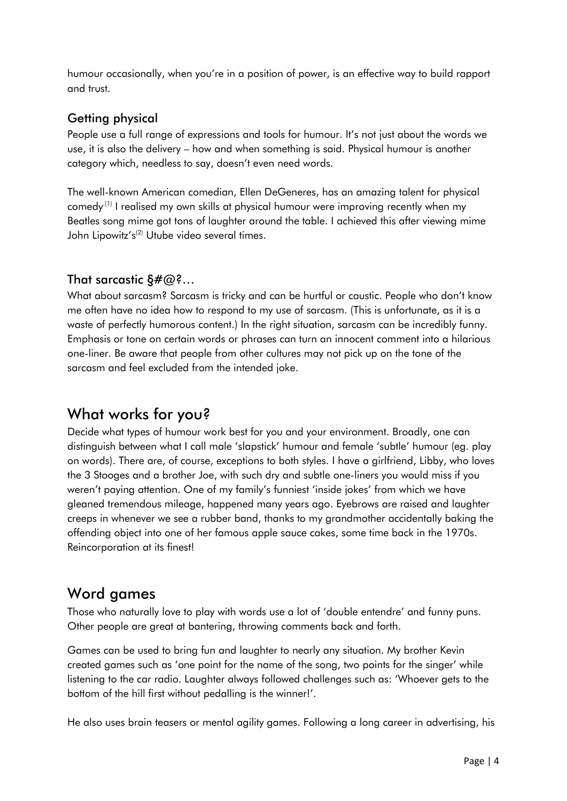humour occasionally, when you're in a position of power, is an effective way to build rapport and trust.

### Getting physical

People use a full range of expressions and tools for humour. It's not just about the words we use, it is also the delivery – how and when something is said. Physical humour is another category which, needless to say, doesn't even need words.

The well-known American comedian, Ellen DeGeneres, has an amazing talent for physical comedy<sup>(1)</sup> I realised my own skills at physical humour were improving recently when my Beatles song mime got tons of laughter around the table. I achieved this after viewing mime John Lipowitz's<sup>(2)</sup> Utube video several times.

### That sarcastic  $\delta \# \varpi$ ?...

What about sarcasm? Sarcasm is tricky and can be hurtful or caustic. People who don't know me often have no idea how to respond to my use of sarcasm. (This is unfortunate, as it is a waste of perfectly humorous content.) In the right situation, sarcasm can be incredibly funny. Emphasis or tone on certain words or phrases can turn an innocent comment into a hilarious one-liner. Be aware that people from other cultures may not pick up on the tone of the sarcasm and feel excluded from the intended joke.

# What works for you?

Decide what types of humour work best for you and your environment. Broadly, one can distinguish between what I call male 'slapstick' humour and female 'subtle' humour (eg. play on words). There are, of course, exceptions to both styles. I have a girlfriend, Libby, who loves the 3 Stooges and a brother Joe, with such dry and subtle one-liners you would miss if you weren't paying attention. One of my family's funniest 'inside jokes' from which we have gleaned tremendous mileage, happened many years ago. Eyebrows are raised and laughter creeps in whenever we see a rubber band, thanks to my grandmother accidentally baking the offending object into one of her famous apple sauce cakes, some time back in the 1970s. Reincorporation at its finest!

## Word games

Those who naturally love to play with words use a lot of 'double entendre' and funny puns. Other people are great at bantering, throwing comments back and forth.

Games can be used to bring fun and laughter to nearly any situation. My brother Kevin created games such as 'one point for the name of the song, two points for the singer' while listening to the car radio. Laughter always followed challenges such as: 'Whoever gets to the bottom of the hill first without pedalling is the winner!'.

He also uses brain teasers or mental agility games. Following a long career in advertising, his